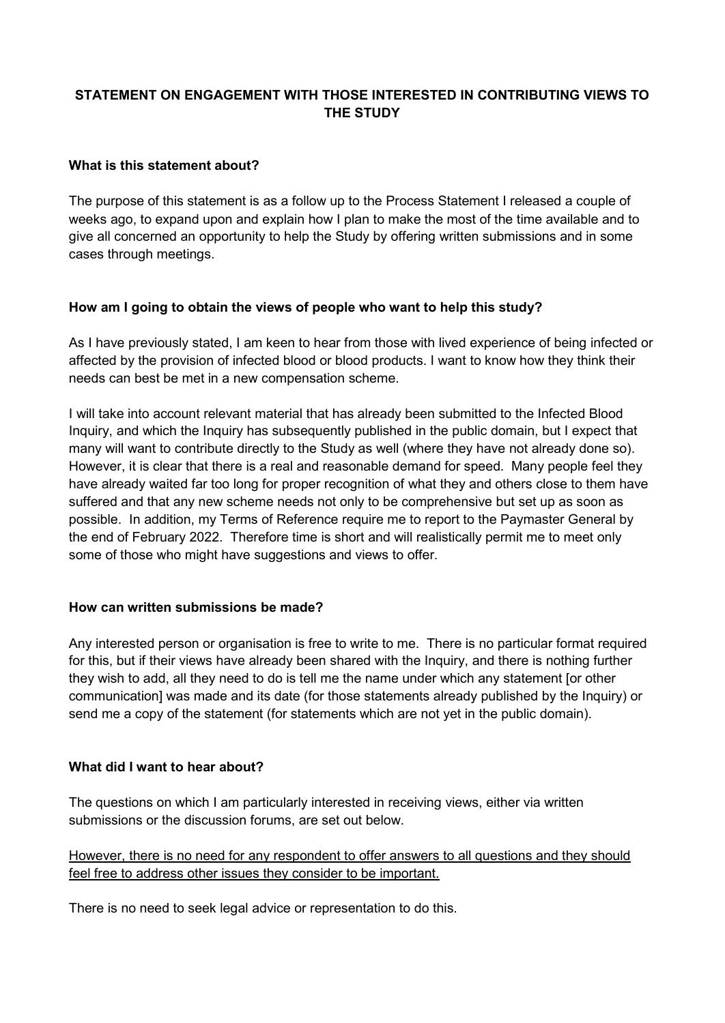# **STATEMENT ON ENGAGEMENT WITH THOSE INTERESTED IN CONTRIBUTING VIEWS TO THE STUDY**

### **What is this statement about?**

The purpose of this statement is as a follow up to the Process Statement I released a couple of weeks ago, to expand upon and explain how I plan to make the most of the time available and to give all concerned an opportunity to help the Study by offering written submissions and in some cases through meetings.

### **How am I going to obtain the views of people who want to help this study?**

As I have previously stated, I am keen to hear from those with lived experience of being infected or affected by the provision of infected blood or blood products. I want to know how they think their needs can best be met in a new compensation scheme.

I will take into account relevant material that has already been submitted to the Infected Blood Inquiry, and which the Inquiry has subsequently published in the public domain, but I expect that many will want to contribute directly to the Study as well (where they have not already done so). However, it is clear that there is a real and reasonable demand for speed. Many people feel they have already waited far too long for proper recognition of what they and others close to them have suffered and that any new scheme needs not only to be comprehensive but set up as soon as possible. In addition, my Terms of Reference require me to report to the Paymaster General by the end of February 2022. Therefore time is short and will realistically permit me to meet only some of those who might have suggestions and views to offer.

### **How can written submissions be made?**

Any interested person or organisation is free to write to me. There is no particular format required for this, but if their views have already been shared with the Inquiry, and there is nothing further they wish to add, all they need to do is tell me the name under which any statement [or other communication] was made and its date (for those statements already published by the Inquiry) or send me a copy of the statement (for statements which are not yet in the public domain).

### **What did I want to hear about?**

The questions on which I am particularly interested in receiving views, either via written submissions or the discussion forums, are set out below.

However, there is no need for any respondent to offer answers to all questions and they should feel free to address other issues they consider to be important.

There is no need to seek legal advice or representation to do this.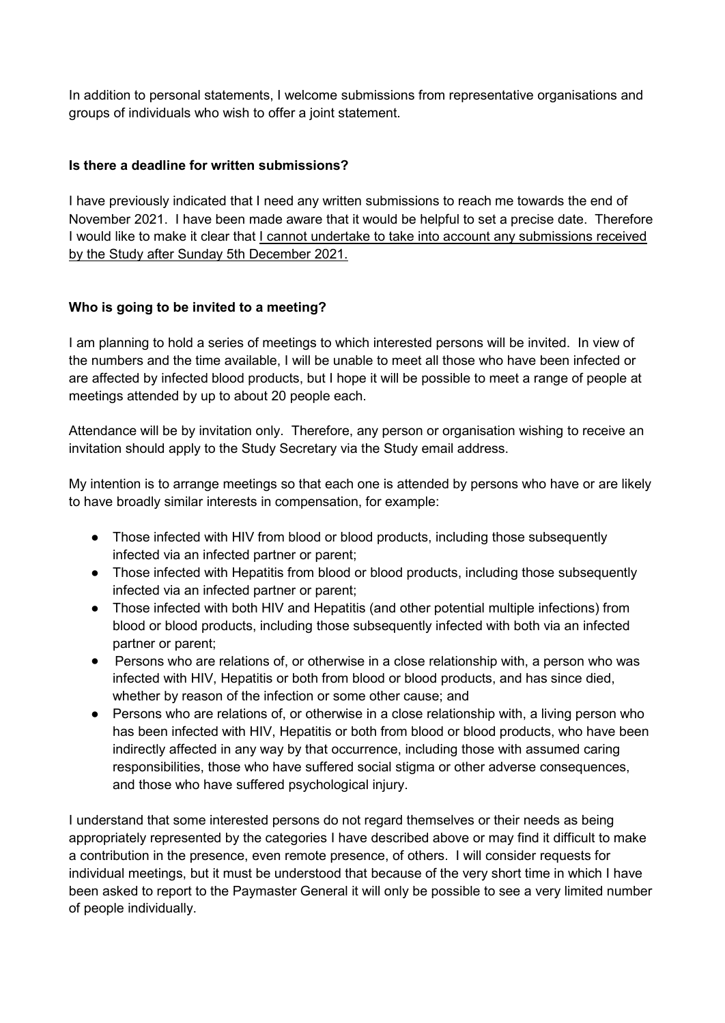In addition to personal statements, I welcome submissions from representative organisations and groups of individuals who wish to offer a joint statement.

# **Is there a deadline for written submissions?**

I have previously indicated that I need any written submissions to reach me towards the end of November 2021. I have been made aware that it would be helpful to set a precise date. Therefore I would like to make it clear that I cannot undertake to take into account any submissions received by the Study after Sunday 5th December 2021.

### **Who is going to be invited to a meeting?**

I am planning to hold a series of meetings to which interested persons will be invited. In view of the numbers and the time available, I will be unable to meet all those who have been infected or are affected by infected blood products, but I hope it will be possible to meet a range of people at meetings attended by up to about 20 people each.

Attendance will be by invitation only. Therefore, any person or organisation wishing to receive an invitation should apply to the Study Secretary via the Study email address.

My intention is to arrange meetings so that each one is attended by persons who have or are likely to have broadly similar interests in compensation, for example:

- Those infected with HIV from blood or blood products, including those subsequently infected via an infected partner or parent;
- Those infected with Hepatitis from blood or blood products, including those subsequently infected via an infected partner or parent;
- Those infected with both HIV and Hepatitis (and other potential multiple infections) from blood or blood products, including those subsequently infected with both via an infected partner or parent;
- Persons who are relations of, or otherwise in a close relationship with, a person who was infected with HIV, Hepatitis or both from blood or blood products, and has since died, whether by reason of the infection or some other cause; and
- Persons who are relations of, or otherwise in a close relationship with, a living person who has been infected with HIV, Hepatitis or both from blood or blood products, who have been indirectly affected in any way by that occurrence, including those with assumed caring responsibilities, those who have suffered social stigma or other adverse consequences, and those who have suffered psychological injury.

I understand that some interested persons do not regard themselves or their needs as being appropriately represented by the categories I have described above or may find it difficult to make a contribution in the presence, even remote presence, of others. I will consider requests for individual meetings, but it must be understood that because of the very short time in which I have been asked to report to the Paymaster General it will only be possible to see a very limited number of people individually.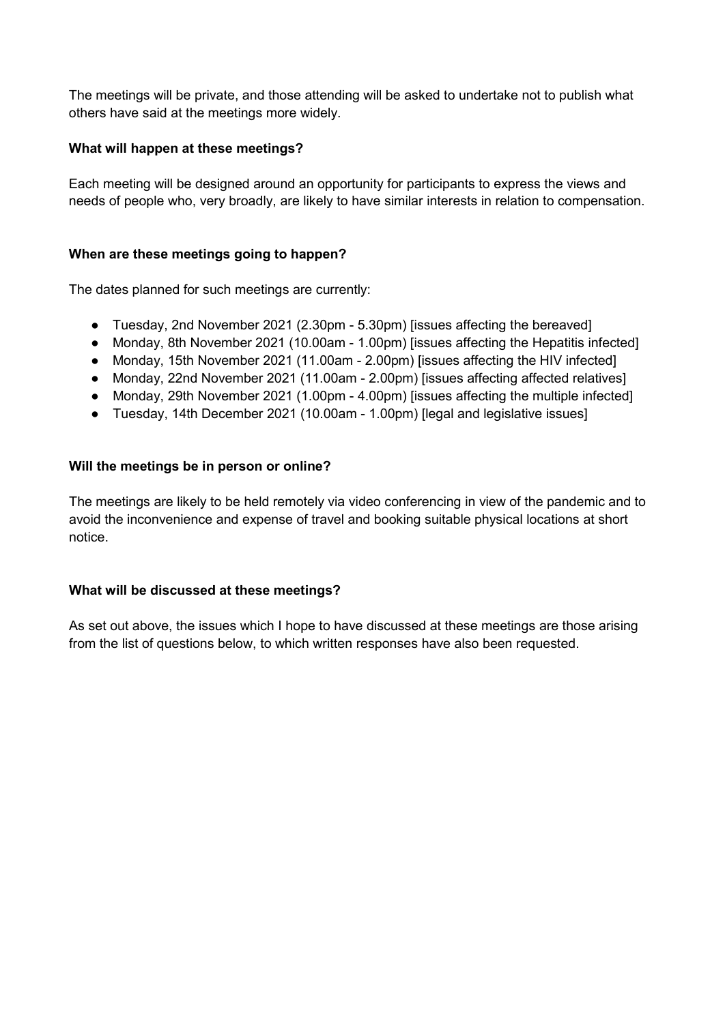The meetings will be private, and those attending will be asked to undertake not to publish what others have said at the meetings more widely.

# **What will happen at these meetings?**

Each meeting will be designed around an opportunity for participants to express the views and needs of people who, very broadly, are likely to have similar interests in relation to compensation.

### **When are these meetings going to happen?**

The dates planned for such meetings are currently:

- Tuesday, 2nd November 2021 (2.30pm 5.30pm) [issues affecting the bereaved]
- Monday, 8th November 2021 (10.00am 1.00pm) [issues affecting the Hepatitis infected]
- Monday, 15th November 2021 (11.00am 2.00pm) [issues affecting the HIV infected]
- Monday, 22nd November 2021 (11.00am 2.00pm) [issues affecting affected relatives]
- Monday, 29th November 2021 (1.00pm 4.00pm) [issues affecting the multiple infected]
- Tuesday, 14th December 2021 (10.00am 1.00pm) [legal and legislative issues]

### **Will the meetings be in person or online?**

The meetings are likely to be held remotely via video conferencing in view of the pandemic and to avoid the inconvenience and expense of travel and booking suitable physical locations at short notice.

### **What will be discussed at these meetings?**

As set out above, the issues which I hope to have discussed at these meetings are those arising from the list of questions below, to which written responses have also been requested.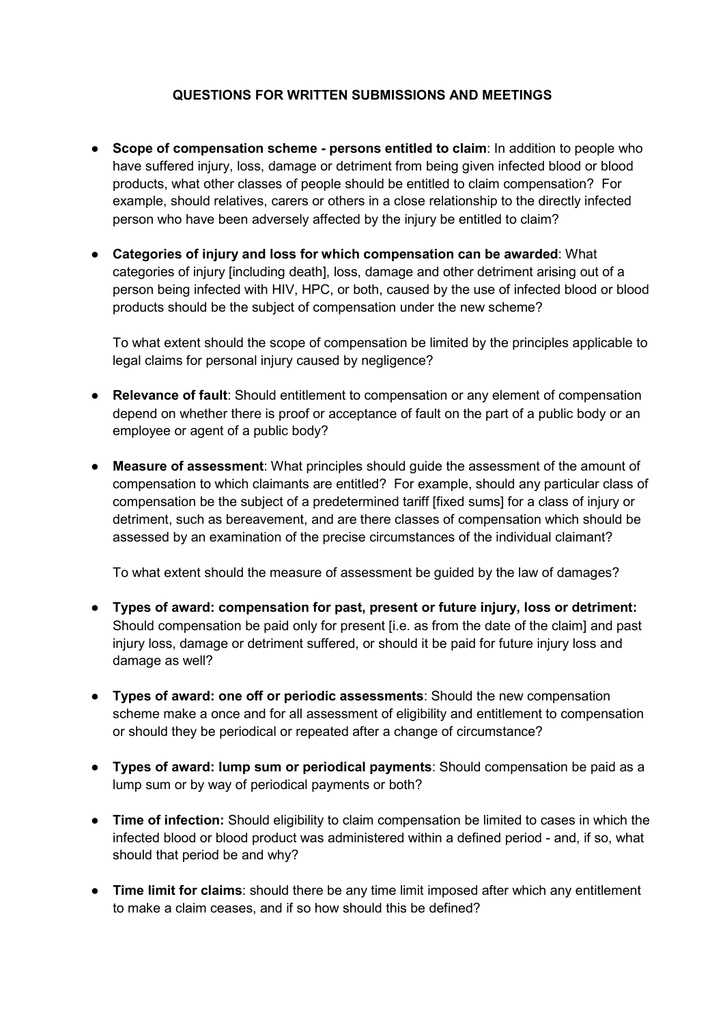# **QUESTIONS FOR WRITTEN SUBMISSIONS AND MEETINGS**

- **Scope of compensation scheme - persons entitled to claim**: In addition to people who have suffered injury, loss, damage or detriment from being given infected blood or blood products, what other classes of people should be entitled to claim compensation? For example, should relatives, carers or others in a close relationship to the directly infected person who have been adversely affected by the injury be entitled to claim?
- **Categories of injury and loss for which compensation can be awarded**: What categories of injury [including death], loss, damage and other detriment arising out of a person being infected with HIV, HPC, or both, caused by the use of infected blood or blood products should be the subject of compensation under the new scheme?

To what extent should the scope of compensation be limited by the principles applicable to legal claims for personal injury caused by negligence?

- **Relevance of fault**: Should entitlement to compensation or any element of compensation depend on whether there is proof or acceptance of fault on the part of a public body or an employee or agent of a public body?
- **Measure of assessment:** What principles should quide the assessment of the amount of compensation to which claimants are entitled? For example, should any particular class of compensation be the subject of a predetermined tariff [fixed sums] for a class of injury or detriment, such as bereavement, and are there classes of compensation which should be assessed by an examination of the precise circumstances of the individual claimant?

To what extent should the measure of assessment be guided by the law of damages?

- **Types of award: compensation for past, present or future injury, loss or detriment:**  Should compensation be paid only for present [i.e. as from the date of the claim] and past injury loss, damage or detriment suffered, or should it be paid for future injury loss and damage as well?
- **Types of award: one off or periodic assessments**: Should the new compensation scheme make a once and for all assessment of eligibility and entitlement to compensation or should they be periodical or repeated after a change of circumstance?
- **Types of award: lump sum or periodical payments**: Should compensation be paid as a lump sum or by way of periodical payments or both?
- **Time of infection:** Should eligibility to claim compensation be limited to cases in which the infected blood or blood product was administered within a defined period - and, if so, what should that period be and why?
- **Time limit for claims**: should there be any time limit imposed after which any entitlement to make a claim ceases, and if so how should this be defined?